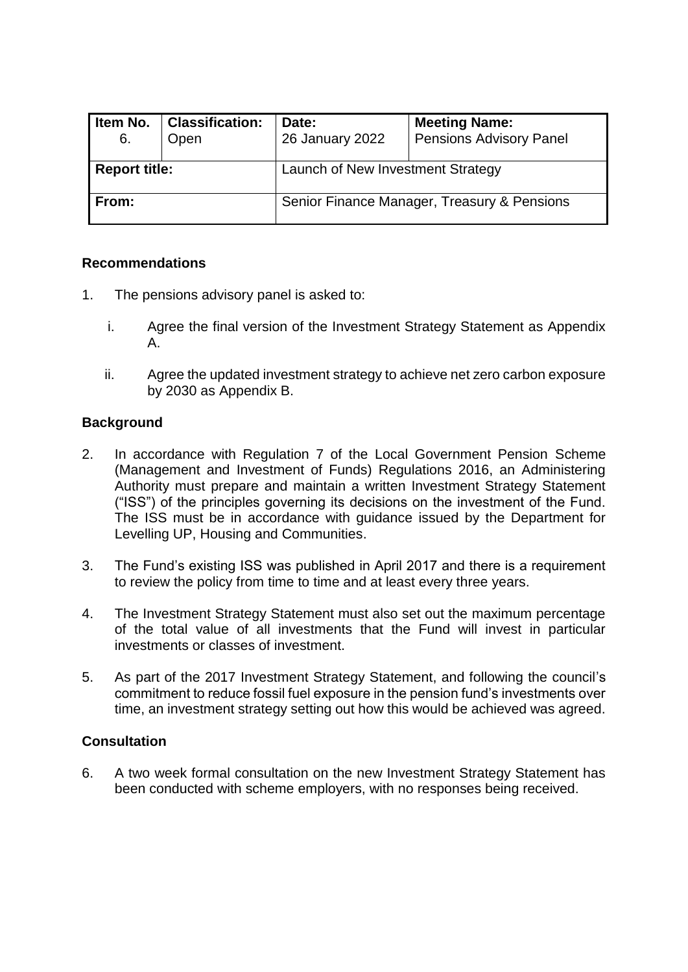| Item No.<br>6.       | <b>Classification:</b><br>Open | Date:<br>26 January 2022                    | <b>Meeting Name:</b><br><b>Pensions Advisory Panel</b> |  |  |
|----------------------|--------------------------------|---------------------------------------------|--------------------------------------------------------|--|--|
| <b>Report title:</b> |                                | Launch of New Investment Strategy           |                                                        |  |  |
| From:                |                                | Senior Finance Manager, Treasury & Pensions |                                                        |  |  |

# **Recommendations**

- 1. The pensions advisory panel is asked to:
	- i. Agree the final version of the Investment Strategy Statement as Appendix A.
	- ii. Agree the updated investment strategy to achieve net zero carbon exposure by 2030 as Appendix B.

# **Background**

- 2. In accordance with Regulation 7 of the Local Government Pension Scheme (Management and Investment of Funds) Regulations 2016, an Administering Authority must prepare and maintain a written Investment Strategy Statement ("ISS") of the principles governing its decisions on the investment of the Fund. The ISS must be in accordance with guidance issued by the Department for Levelling UP, Housing and Communities.
- 3. The Fund's existing ISS was published in April 2017 and there is a requirement to review the policy from time to time and at least every three years.
- 4. The Investment Strategy Statement must also set out the maximum percentage of the total value of all investments that the Fund will invest in particular investments or classes of investment.
- 5. As part of the 2017 Investment Strategy Statement, and following the council's commitment to reduce fossil fuel exposure in the pension fund's investments over time, an investment strategy setting out how this would be achieved was agreed.

#### **Consultation**

6. A two week formal consultation on the new Investment Strategy Statement has been conducted with scheme employers, with no responses being received.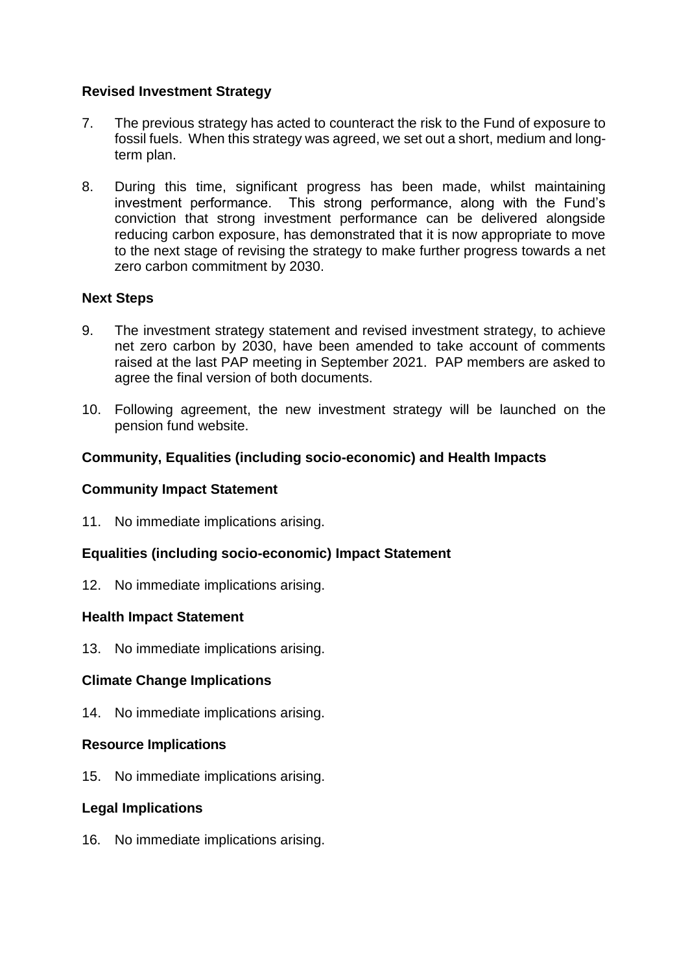# **Revised Investment Strategy**

- 7. The previous strategy has acted to counteract the risk to the Fund of exposure to fossil fuels. When this strategy was agreed, we set out a short, medium and longterm plan.
- 8. During this time, significant progress has been made, whilst maintaining investment performance. This strong performance, along with the Fund's conviction that strong investment performance can be delivered alongside reducing carbon exposure, has demonstrated that it is now appropriate to move to the next stage of revising the strategy to make further progress towards a net zero carbon commitment by 2030.

# **Next Steps**

- 9. The investment strategy statement and revised investment strategy, to achieve net zero carbon by 2030, have been amended to take account of comments raised at the last PAP meeting in September 2021. PAP members are asked to agree the final version of both documents.
- 10. Following agreement, the new investment strategy will be launched on the pension fund website.

# **Community, Equalities (including socio-economic) and Health Impacts**

#### **Community Impact Statement**

11. No immediate implications arising.

#### **Equalities (including socio-economic) Impact Statement**

12. No immediate implications arising.

#### **Health Impact Statement**

13. No immediate implications arising.

#### **Climate Change Implications**

14. No immediate implications arising.

#### **Resource Implications**

15. No immediate implications arising.

#### **Legal Implications**

16. No immediate implications arising.